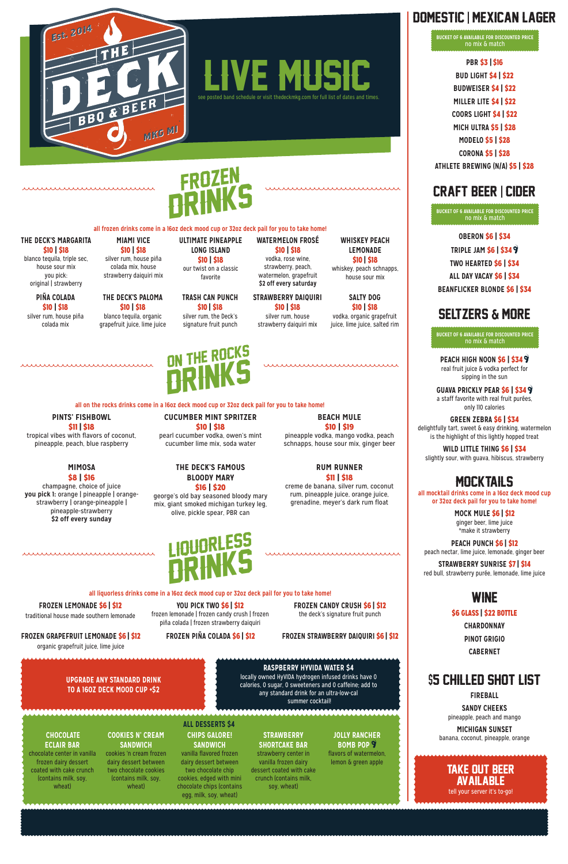

mummmmmmmm

**UPGRADE ANY STANDARD DRINK TO A 16OZ DECK MOOD CUP +\$2**

### **RASPBERRY HYVIDA WATER \$4**

locally owned HyVIDA hydrogen infused drinks have 0 calories, 0 sugar, 0 sweeteners and 0 caffeine; add to any standard drink for an ultra-low-cal summer cocktail!

### Domestic | Mexican Lager

**PBR** \$3 **|** \$16

**BUD LIGHT** \$4 **|** \$22

**BUDWEISER** \$4 **|** \$22 **MILLER LITE** \$4 **|** \$22

**COORS LIGHT** \$4 **|** \$22

**MICH ULTRA** \$5 **|** \$28

**MODELO** \$5 **|** \$28

**CORONA** \$5 **|** \$28

**ATHLETE BREWING (N/A)** \$5 **|** \$28

### Craft Beer | Cider

**OBERON** \$6 **|** \$34

**TRIPLE JAM** \$6 **|** \$34

**TWO HEARTED** \$6 **|** \$34

**ALL DAY VACAY** \$6 **|** \$34

**BEANFLICKER BLONDE** \$6 **|** \$34

### **SELTZERS & MORE**

**PEACH HIGH NOON** \$6 **|** \$34 real fruit juice & vodka perfect for sipping in the sun

**GUAVA PRICKLY PEAR** \$6 **|** \$34 a staff favorite with real fruit purées, only 110 calories

**GREEN ZEBRA** \$6 **|** \$34 delightfully tart, sweet & easy drinking, watermelon is the highlight of this lightly hopped treat

**WILD LITTLE THING** \$6 **|** \$34 slightly sour, with guava, hibiscus, strawberry

### **MOCKTAILS**

**all mocktail drinks come in a 16oz deck mood cup or 32oz deck pail for you to take home!**

> **MOCK MULE** \$6 **|** \$12 ginger beer, lime juice \*make it strawberry

**PEACH PUNCH** \$6 **|** \$12 peach nectar, lime juice, lemonade, ginger beer

**STRAWBERRY SUNRISE** \$7 **|** \$14 red bull, strawberry purée, lemonade, lime juice

### WINE

\$6 GLASS **|** \$22 BOTTLE

**CHARDONNAY PINOT GRIGIO CABERNET**

### \$5 Chilled Shot List

**FIREBALL**

**SANDY CHEEKS** pineapple, peach and mango

**MICHIGAN SUNSET** banana, coconut, pineapple, orange

**BUCKET OF 6 AVAILABLE FOR DISCOUNTED PRICE** no mix & match

**BUCKET OF 6 AVAILABLE FOR DISCOUNTED PRICE** no mix & match

**BUCKET OF 6 AVAILABLE FOR DISCOUNTED PRICE** no mix & match

LIQUORLESS

### **all liquorless drinks come in a 16oz deck mood cup or 32oz deck pail for you to take home!**

#### **FROZEN GRAPEFRUIT LEMONADE** \$6 **|** \$12

organic grapefruit juice, lime juice

**FROZEN PIÑA COLADA** \$6 **|** \$12 **FROZEN STRAWBERRY DAIQUIRI** \$6 **|** \$12

 **YOU PICK TWO** \$6 **|** \$12 frozen lemonade | frozen candy crush | frozen

**DRINKS** 

**FROZEN LEMONADE** \$6 **|** \$12

traditional house made southern lemonade

piña colada | frozen strawberry daiquiri

**FROZEN CANDY CRUSH** \$6 **|** \$12 the deck's signature fruit punch



**all frozen drinks come in a 16oz deck mood cup or 32oz deck pail for you to take home!** 

**PIÑA COLADA**  \$10 **|** \$18 silver rum, house piña colada mix

**THE DECK'S PALOMA**  \$10 **|** \$18 blanco tequila, organic grapefruit juice, lime juice

### **TRASH CAN PUNCH**  \$10 **|** \$18

silver rum, the Deck's signature fruit punch

### **STRAWBERRY DAIQUIRI**

\$10 **|** \$18 silver rum, house strawberry daiquiri mix

**SALTY DOG** \$10 **|** \$18 vodka, organic grapefruit

juice, lime juice, salted rim

### **THE DECK'S MARGARITA**  \$10 **|** \$18

blanco tequila, triple sec, house sour mix you pick: original | strawberry

### **MIAMI VICE**  \$10 **|** \$18

silver rum, house piña colada mix, house strawberry daiquiri mix

### **ULTIMATE PINEAPPLE LONG ISLAND**  \$10 **|** \$18

our twist on a classic favorite

### **WATERMELON FROSÉ**  \$10 **|** \$18

vodka, rose wine, strawberry, peach, watermelon, grapefruit **\$2 off every saturday** 

#### **WHISKEY PEACH LEMONADE**  \$10 **|** \$18

whiskey, peach schnapps, house sour mix



**all on the rocks drinks come in a 16oz deck mood cup or 32oz deck pail for you to take home!**

### **MIMOSA**  \$8 **|** \$16

champagne, choice of juice **you pick 1:** orange | pineapple | orangestrawberry | orange-pineapple | pineapple-strawberry **\$2 off every sunday**

mummmmmmmm

**THE DECK'S FAMOUS BLOODY MARY**  \$16 **|** \$20 george's old bay seasoned bloody mary mix, giant smoked michigan turkey leg, olive, pickle spear, PBR can

 **CUCUMBER MINT SPRITZER**  \$10 **|** \$18

### **RUM RUNNER**  \$11 **|** \$18

creme de banana, silver rum, coconut

,,,,,,,,,,,,,,,,,,,,,,,,,,,,,,,,,,,

rum, pineapple juice, orange juice, grenadine, meyer's dark rum float



#### **PINTS' FISHBOWL**  \$11 **|** \$18

\*\*\*\*\*\*\*\*\*\*\*\*\*\*\*\*\*\*\*\*\*\*\*\*\*\*\*\*\*\*\*

tropical vibes with flavors of coconut, pineapple, peach, blue raspberry

pearl cucumber vodka, owen's mint cucumber lime mix, soda water

# **BEACH MULE**

### \$10 **|** \$19

pineapple vodka, mango vodka, peach schnapps, house sour mix, ginger beer

### Take Out Beer AVAILABLE tell your server it's to-go!

#### **CHOCOLATE ECLAIR BAR**

chocolate center in vanilla frozen dairy dessert coated with cake crunch (contains milk, soy, wheat)

### **COOKIES N' CREAM SANDWICH**

cookies 'n cream frozen dairy dessert between two chocolate cookies (contains milk, soy, wheat)

**CHIPS GALORE! SANDWICH** vanilla flavored frozen dairy dessert between two chocolate chip cookies, edged with mini chocolate chips (contains egg, milk, soy, wheat)

**STRAWBERRY SHORTCAKE BAR** strawberry center in vanilla frozen dairy dessert coated with cake crunch (contains milk, soy, wheat)

**JOLLY RANCHER BOMB POP** flavors of watermelon, lemon & green apple

#### **ALL DESSERTS \$4**